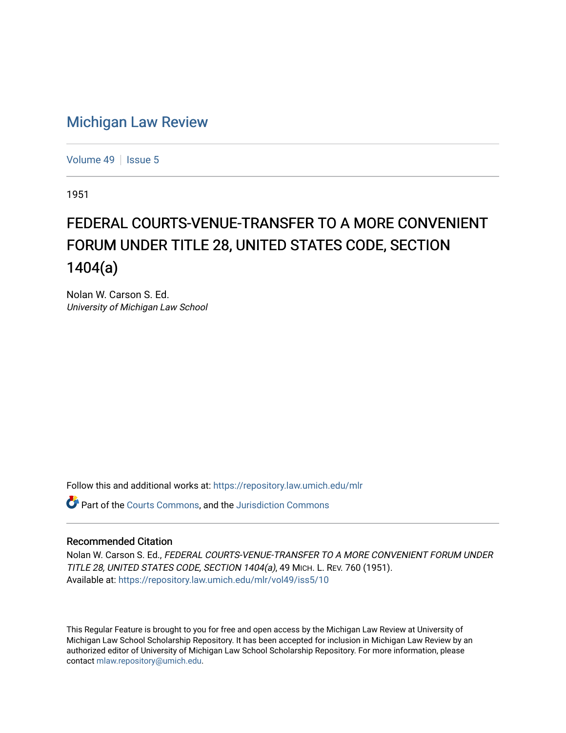## [Michigan Law Review](https://repository.law.umich.edu/mlr)

[Volume 49](https://repository.law.umich.edu/mlr/vol49) | [Issue 5](https://repository.law.umich.edu/mlr/vol49/iss5)

1951

## FEDERAL COURTS-VENUE-TRANSFER TO A MORE CONVENIENT FORUM UNDER TITLE 28, UNITED STATES CODE, SECTION 1404(a)

Nolan W. Carson S. Ed. University of Michigan Law School

Follow this and additional works at: [https://repository.law.umich.edu/mlr](https://repository.law.umich.edu/mlr?utm_source=repository.law.umich.edu%2Fmlr%2Fvol49%2Fiss5%2F10&utm_medium=PDF&utm_campaign=PDFCoverPages) 

Part of the [Courts Commons,](http://network.bepress.com/hgg/discipline/839?utm_source=repository.law.umich.edu%2Fmlr%2Fvol49%2Fiss5%2F10&utm_medium=PDF&utm_campaign=PDFCoverPages) and the [Jurisdiction Commons](http://network.bepress.com/hgg/discipline/850?utm_source=repository.law.umich.edu%2Fmlr%2Fvol49%2Fiss5%2F10&utm_medium=PDF&utm_campaign=PDFCoverPages)

## Recommended Citation

Nolan W. Carson S. Ed., FEDERAL COURTS-VENUE-TRANSFER TO A MORE CONVENIENT FORUM UNDER TITLE 28, UNITED STATES CODE, SECTION 1404(a), 49 MICH. L. REV. 760 (1951). Available at: [https://repository.law.umich.edu/mlr/vol49/iss5/10](https://repository.law.umich.edu/mlr/vol49/iss5/10?utm_source=repository.law.umich.edu%2Fmlr%2Fvol49%2Fiss5%2F10&utm_medium=PDF&utm_campaign=PDFCoverPages) 

This Regular Feature is brought to you for free and open access by the Michigan Law Review at University of Michigan Law School Scholarship Repository. It has been accepted for inclusion in Michigan Law Review by an authorized editor of University of Michigan Law School Scholarship Repository. For more information, please contact [mlaw.repository@umich.edu](mailto:mlaw.repository@umich.edu).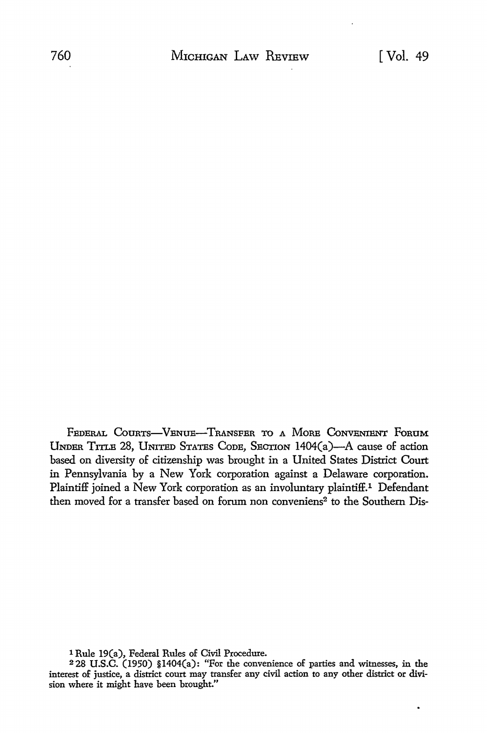FEDERAL COURTS-VENUE-TRANSFER TO A MORE CONVENIENT FORUM UNDER TITLE 28, UNITED STATES CoDE, SECTION 1404(a)-A cause of action based on diversity of citizenship was brought in a United States District Court in Pennsylvania by a New York corporation against a Delaware corporation. Plaintiff joined a New York corporation as an involuntary plaintiff.<sup>1</sup> Defendant then moved for a transfer based on forum non conveniens<sup>2</sup> to the Southern Dis-

1 Rule 19(a), Federal Rules of Civil Procedure.

<sup>2</sup>28 U.S.C. (1950) §1404(a): "For the convenience of parties and witnesses, in the interest of justice, a district court may transfer any civil action to any other district or division where it might have been brought."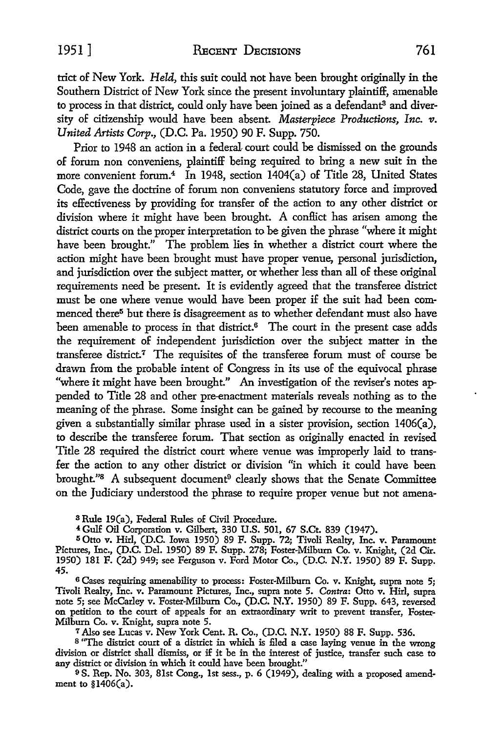trict of New York. *Held,* this suit could not have been brought originally in the Southern District of New York since the present involuntary plaintiff, amenable to process in that district, could only have been joined as a defendant<sup>3</sup> and diversity of citizenship would have been absent. *Masterpiece Productions, Inc. v. United Artists Corp.,* (D.C. Pa. 1950) 90 F. Supp. 750.

Prior to 1948 an action in a federal court could be dismissed on the grounds of forum non conveniens, plaintiff being required to bring a new suit in the more convenient forum.<sup>4</sup> In 1948, section 1404(a) of Title 28, United States Code, gave the doctrine of forum non conveniens statutory force and improved its effectiveness by providing for transfer of the action to any other district or division where it might have been brought. A conflict has arisen among the district courts on the proper interpretation to be given the phrase "where it might have been brought." The problem lies in whether a district court where the action might have been brought must have proper venue, personal jurisdiction, and jurisdiction over the subject matter, or whether less than all of these original requirements need be present. It is evidently agreed that the transferee district must be one where venue would have been proper if the suit had been commenced there<sup>5</sup> but there is disagreement as to whether defendant must also have been amenable to process in that district.<sup>6</sup> The court in the present case adds the requirement of independent jurisdiction over the subject matter in the transferee district.<sup>7</sup> The requisites of the transferee forum must of course be drawn from the probable intent of Congress in its use of the equivocal phrase "where it might have been brought." An investigation of the reviser's notes appended to Title 28 and other pre-enactment materials reveals nothing as to the meaning of the phrase. Some insight can be gained by recourse to the meaning given a substantially similar phrase used in a sister provision, section 1406(a), to describe the transferee forum. That section as originally enacted in revised Title 28 required the district court where venue was improperly laid to transfer the action to any other district or division "in which it could have been brought."<sup>8</sup> A subsequent document<sup>9</sup> clearly shows that the Senate Committee on the Judiciary understood the phrase to require proper venue but not amena-

s Rule 19(a), Federal Rules of Civil Procedure.

<sup>4</sup> Gulf Oil Corporation v. Gilbert, 330 U.S. 501, 67 S.Ct. 839 (1947).

IS Otto v. Hirl, (D.C. Iowa 1950) 89 F. Supp. 72; Tivoli Realty, Inc. v. Paramount Pictures, Inc., (D.C. Del. 1950) 89 F. Supp. 278; Foster-Milburn Co. v. Knight, (2d Cir. 1950) 181 F. (2d) 949; see Ferguson v. Ford Motor Co., (D.C. N.Y. 1950) 89 F. Supp. 45.

<sup>6</sup>Cases requiring amenability to process: Foster-Milburn Co. v. Knight, supra note 5; Tivoli Realty, Inc. v. Paramount Pictures, Inc., supra note 5. *Contra:* Otto v. Hirl, supra note 5; see McCarley v. Foster-Milburn Co., (D.C. N.Y. 1950) 89 F. Supp. 643, reversed on petition to the court of appeals for an extraordinary writ to prevent transfer, Foster-Milburn Co. v. Knight, supra note 5.

7 Also see Lucas v. New York Cent. R. Co., (D.C. N.Y. 1950) 88 F. Supp. 536.

<sup>8</sup>"The district court of a district in which is filed a case laying venue in the wrong division or district shall dismiss, or if it be in the interest of justice, transfer such case to any district or division in which it could have been brought."

9 S. Rep. No. 303, 81st Cong., 1st sess., p. 6 (1949), dealing with a proposed amendment to §1406(a).